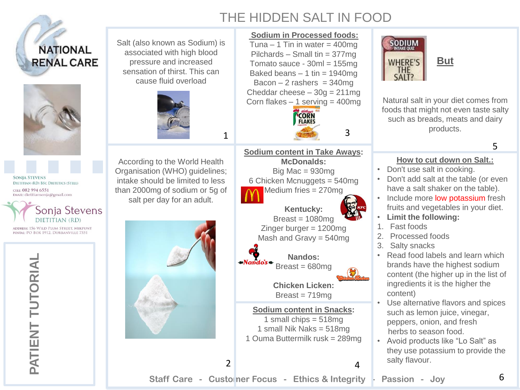## THE HIDDEN SALT IN FOOD

5

6